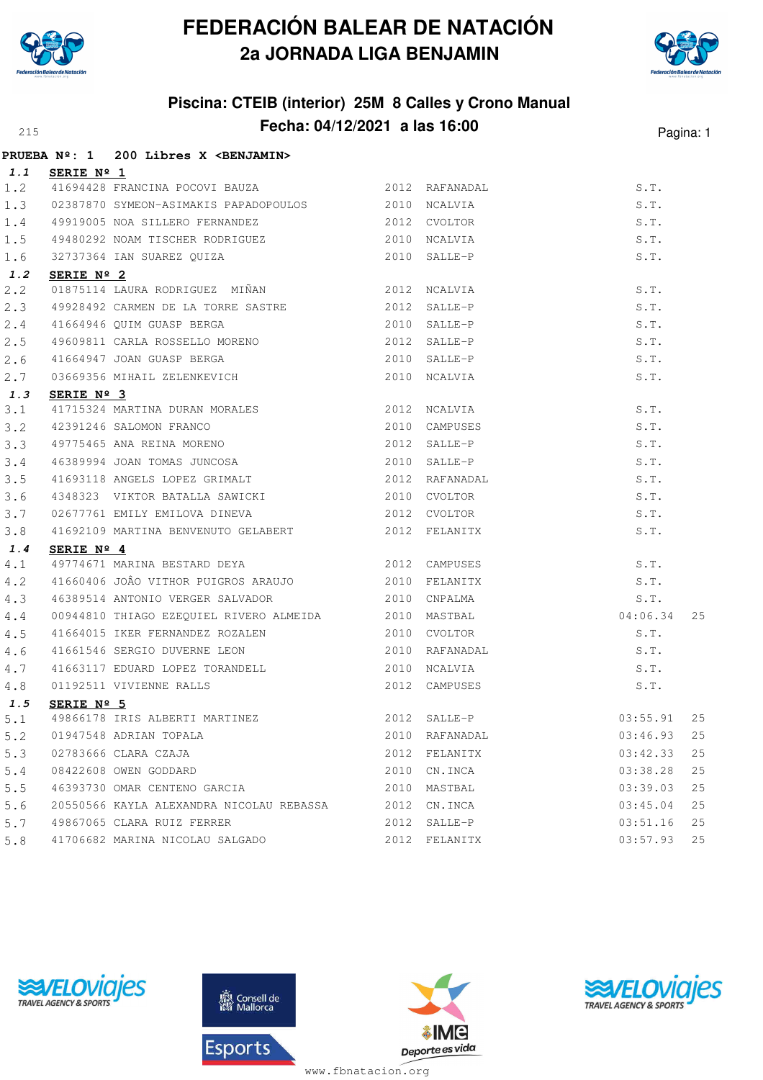



## **Piscina: CTEIB (interior) 25M 8 Calles y Crono Manual Fecha: 04/12/2021 a las 16:00**<sup>215</sup> Pagina: 1

|     |            | PRUEBA Nº: 1 200 Libres X <benjamin></benjamin>                                                                                                               |                |                                |          |    |
|-----|------------|---------------------------------------------------------------------------------------------------------------------------------------------------------------|----------------|--------------------------------|----------|----|
| 1.1 | SERIE Nº 1 |                                                                                                                                                               |                |                                |          |    |
| 1.2 |            | 41694428 FRANCINA POCOVI BAUZA 6 2012 RAFANADAL                                                                                                               |                |                                | S.T.     |    |
| 1.3 |            | 02387870 SYMEON-ASIMAKIS PAPADOPOULOS 2010 NCALVIA                                                                                                            |                |                                | S.T.     |    |
| 1.4 |            | 49919005 NOA SILLERO FERNANDEZ 2012 CVOLTOR                                                                                                                   |                |                                | S.T.     |    |
| 1.5 |            | 49480292 NOAM TISCHER RODRIGUEZ 6 19480292 NOALVIA                                                                                                            |                |                                | S.T.     |    |
| 1.6 |            | 32737364 IAN SUAREZ QUIZA 2010 SALLE-P                                                                                                                        |                |                                | S.T.     |    |
| 1.2 | SERIE Nº 2 |                                                                                                                                                               |                |                                |          |    |
| 2.2 |            | 01875114 LAURA RODRIGUEZ MIÑAN 2012 NCALVIA                                                                                                                   |                |                                | S.T.     |    |
| 2.3 |            | 49928492 CARMEN DE LA TORRE SASTRE 2012 SALLE-P                                                                                                               |                |                                | S.T.     |    |
| 2.4 |            |                                                                                                                                                               |                |                                | S.T.     |    |
| 2.5 |            |                                                                                                                                                               |                |                                | S.T.     |    |
| 2.6 |            |                                                                                                                                                               |                |                                | S.T.     |    |
| 2.7 |            |                                                                                                                                                               |                |                                | S.T.     |    |
| 1.3 | SERIE Nº 3 |                                                                                                                                                               |                |                                |          |    |
| 3.1 |            |                                                                                                                                                               |                |                                | S.T.     |    |
| 3.2 |            |                                                                                                                                                               |                |                                | S.T.     |    |
| 3.3 |            |                                                                                                                                                               |                |                                | S.T.     |    |
| 3.4 |            | 41715324 MARTINA DURAN MORALES<br>42391246 SALOMON FRANCO 2010 CAMPUSES<br>49775465 ANA REINA MORENO 2012 SALLE-P<br>46389994 JOAN TOMAS JUNCOSA 2010 SALLE-P |                |                                | S.T.     |    |
| 3.5 |            | 41693118 ANGELS LOPEZ GRIMALT 2012 RAFANADAL                                                                                                                  |                |                                | S.T.     |    |
| 3.6 |            | 4348323 VIKTOR BATALLA SAWICKI                                                                                                                                |                | 2010 CVOLTOR                   | S.T.     |    |
| 3.7 |            | 02677761 EMILY EMILOVA DINEVA 2012 CVOLTOR                                                                                                                    |                |                                | S.T.     |    |
| 3.8 |            | 41692109 MARTINA BENVENUTO GELABERT 2012 FELANITX                                                                                                             |                |                                | S.T.     |    |
| 1.4 | SERIE Nº 4 |                                                                                                                                                               |                |                                |          |    |
| 4.1 |            | 49774671 MARINA BESTARD DEYA 2012 CAMPUSES                                                                                                                    |                |                                | S.T.     |    |
| 4.2 |            | 41660406 JOÂO VITHOR PUIGROS ARAUJO 2010 FELANITX                                                                                                             |                |                                | S.T.     |    |
| 4.3 |            | 46389514 ANTONIO VERGER SALVADOR 1999 1999 2010 CNPALMA                                                                                                       |                |                                | S.T.     |    |
| 4.4 |            | 00944810 THIAGO EZEQUIEL RIVERO ALMEIDA 62010 MASTBAL                                                                                                         |                |                                | 04:06.34 | 25 |
| 4.5 |            | 41664015 IKER FERNANDEZ ROZALEN 2010 CVOLTOR                                                                                                                  |                | 2010 CVOLTOR<br>2010 RAFANADAL | S.T.     |    |
| 4.6 |            | 41661546 SERGIO DUVERNE LEON                                                                                                                                  |                |                                | S.T.     |    |
| 4.7 |            | 41663117 EDUARD LOPEZ TORANDELL 2010 NCALVIA                                                                                                                  |                |                                | S.T.     |    |
| 4.8 |            | 01192511 VIVIENNE RALLS                                                                                                                                       |                | 2012 CAMPUSES                  | S.T.     |    |
| 1.5 | SERIE Nº 5 |                                                                                                                                                               |                |                                |          |    |
|     |            | 5.1 49866178 IRIS ALBERTI MARTINEZ 2012 SALLE-P 03:55.91 25                                                                                                   |                |                                |          |    |
| 5.2 |            | 01947548 ADRIAN TOPALA                                                                                                                                        |                | 2010 RAFANADAL                 | 03:46.93 | 25 |
| 5.3 |            | 02783666 CLARA CZAJA                                                                                                                                          |                | 2012 FELANITX                  | 03:42.33 | 25 |
| 5.4 |            | 08422608 OWEN GODDARD                                                                                                                                         |                | 2010 CN.INCA                   | 03:38.28 | 25 |
| 5.5 |            | 46393730 OMAR CENTENO GARCIA                                                                                                                                  |                | 2010 MASTBAL                   | 03:39.03 | 25 |
| 5.6 |            | 20550566 KAYLA ALEXANDRA NICOLAU REBASSA 2012 CN.INCA                                                                                                         |                |                                | 03:45.04 | 25 |
|     |            | 5.7 49867065 CLARA RUIZ FERRER                                                                                                                                | $2012$ SALLE-P |                                | 03:51.16 | 25 |
| 5.8 |            | 41706682 MARINA NICOLAU SALGADO                                                                                                                               |                | 2012 FELANITX                  | 03:57.93 | 25 |







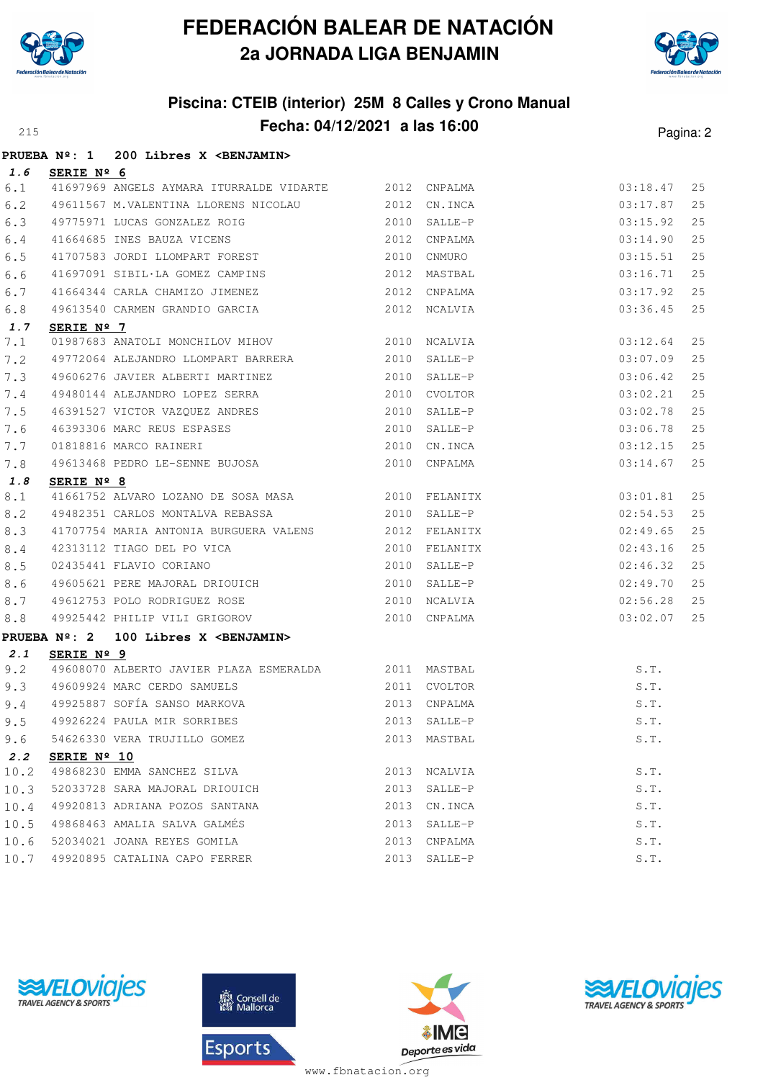



#### **Piscina: CTEIB (interior) 25M 8 Calles y Crono Manual Fecha: 04/12/2021 a las 16:00** Pagina: 2

|      |                        | PRUEBA Nº: 1 200 Libres X <benjamin></benjamin>                                                                               |      |              |                      |    |
|------|------------------------|-------------------------------------------------------------------------------------------------------------------------------|------|--------------|----------------------|----|
| 1.6  | SERIE Nº 6             |                                                                                                                               |      |              |                      |    |
| 6.1  |                        | 41697969 ANGELS AYMARA ITURRALDE VIDARTE 2012 CNPALMA                                                                         |      |              | 03:18.47             | 25 |
| 6.2  |                        | 49611567 M.VALENTINA LLORENS NICOLAU 2012 CN.INCA                                                                             |      |              | 03:17.87             | 25 |
| 6.3  |                        |                                                                                                                               |      |              | 03:15.92             | 25 |
| 6.4  |                        |                                                                                                                               |      |              | 03:14.90             | 25 |
| 6.5  |                        |                                                                                                                               |      |              | 03:15.51             | 25 |
| 6.6  |                        | 41697091 SIBIL·LA GOMEZ CAMPINS 2012 MASTBAL                                                                                  |      |              | 03:16.71             | 25 |
| 6.7  |                        | 41664344 CARLA CHAMIZO JIMENEZ 2012 CNPALMA                                                                                   |      |              | 03:17.92             | 25 |
| 6.8  |                        | 49613540 CARMEN GRANDIO GARCIA 2012 NCALVIA                                                                                   |      |              | 03:36.45             | 25 |
| 1.7  | SERIE $N^{\circ}$ 7    |                                                                                                                               |      |              |                      |    |
| 7.1  |                        | 01987683 ANATOLI MONCHILOV MIHOV 2010 NCALVIA                                                                                 |      |              | 03:12.64             | 25 |
| 7.2  |                        | 49772064 ALEJANDRO LLOMPART BARRERA 2010 SALLE-P                                                                              |      |              | 03:07.09             | 25 |
| 7.3  |                        |                                                                                                                               |      |              | 03:06.42             | 25 |
| 7.4  |                        |                                                                                                                               |      |              | 03:02.21             | 25 |
| 7.5  |                        | 49480144 ALEJANDRO LOPEZ SERRA 2010 CVOLTOR<br>46391527 VICTOR VAZQUEZ ANDRES 2010 SALLE-P                                    |      |              | 03:02.78             | 25 |
| 7.6  |                        |                                                                                                                               |      |              | 03:06.78             | 25 |
| 7.7  |                        |                                                                                                                               |      |              | 03:12.15             | 25 |
| 7.8  |                        | 46393306 MARC REUS ESPASES 2010 SALLE-P<br>01818816 MARCO RAINERI 2010 CN.INCA<br>49613468 PEDRO LE-SENNE BUJOSA 2010 CNPALMA |      |              | 03:14.67             | 25 |
| 1.8  | SERIE Nº 8             |                                                                                                                               |      |              |                      |    |
| 8.1  |                        | 41661752 ALVARO LOZANO DE SOSA MASA 600 2010 FELANITX                                                                         |      |              | 03:01.81             | 25 |
| 8.2  |                        | 49482351 CARLOS MONTALVA REBASSA $2010$ SALLE-P                                                                               |      |              | 02:54.53             | 25 |
| 8.3  |                        | 41707754 MARIA ANTONIA BURGUERA VALENS 2012 FELANITX                                                                          |      |              | 02:49.65             | 25 |
| 8.4  |                        |                                                                                                                               |      |              | 02:43.16             | 25 |
| 8.5  |                        | 42313112 TIAGO DEL PO VICA (2010) FELANITX<br>02435441 FLAVIO CORIANO (2010) 8ALLE-P                                          |      |              | 02:46.32             | 25 |
| 8.6  |                        | 49605621 PERE MAJORAL DRIOUICH 2010 SALLE-P                                                                                   |      |              | 02:49.70             | 25 |
| 8.7  |                        |                                                                                                                               |      |              | 02:56.28             | 25 |
| 8.8  |                        |                                                                                                                               |      |              | 03:02.07             | 25 |
|      | PRUEBA $N^{\circ}$ : 2 | 100 Libres X <benjamin></benjamin>                                                                                            |      |              |                      |    |
| 2.1  | SERIE Nº 9             |                                                                                                                               |      |              |                      |    |
| 9.2  |                        | 49608070 ALBERTO JAVIER PLAZA ESMERALDA 2011 MASTBAL                                                                          |      |              | S.T.                 |    |
| 9.3  |                        | 49609924 MARC CERDO SAMUELS<br>49925997 SOTÍA SAMOS METI                                                                      |      | 2011 CVOLTOR | S.T.                 |    |
| 9.4  |                        |                                                                                                                               |      |              | S.T.<br>S.T.<br>S.T. |    |
| 9.5  |                        |                                                                                                                               |      |              |                      |    |
| 9.6  |                        | 54626330 VERA TRUJILLO GOMEZ                                                                                                  |      | 2013 MASTBAL | S.T.                 |    |
| 2.2  | SERIE Nº 10            |                                                                                                                               |      |              |                      |    |
| 10.2 |                        | 49868230 EMMA SANCHEZ SILVA                                                                                                   |      | 2013 NCALVIA | S.T.                 |    |
| 10.3 |                        | 52033728 SARA MAJORAL DRIOUICH                                                                                                | 2013 | SALLE-P      | S.T.                 |    |
| 10.4 |                        | 49920813 ADRIANA POZOS SANTANA                                                                                                | 2013 | CN.INCA      | S.T.                 |    |
| 10.5 |                        | 49868463 AMALIA SALVA GALMÉS                                                                                                  | 2013 | SALLE-P      | S.T.                 |    |





10.6 52034021 JOANA REYES GOMILA 2013 CNPALMA S.T. 10.7 49920895 CATALINA CAPO FERRER 2013 SALLE-P S.T.



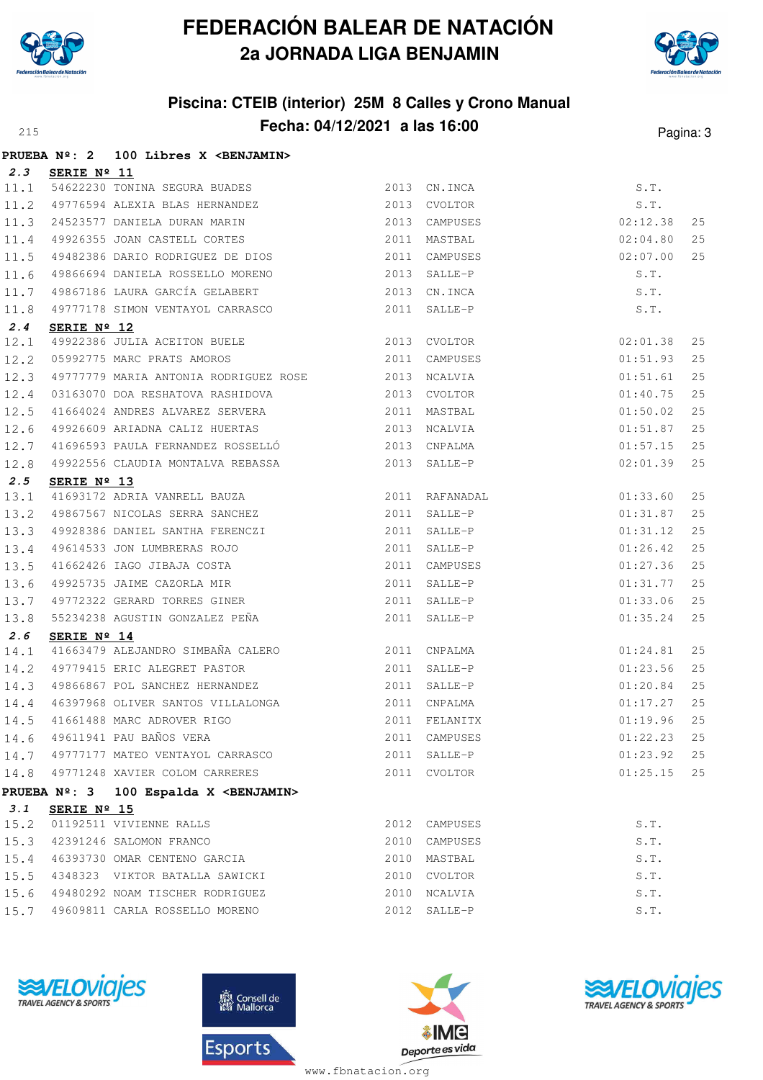



#### **Piscina: CTEIB (interior) 25M 8 Calles y Crono Manual Fecha: 04/12/2021 a las 16:00** Pagina: 3

|              |                      | PRUEBA Nº: 2 100 Libres X < BENJAMIN>                                                                       |              |               |                      |    |
|--------------|----------------------|-------------------------------------------------------------------------------------------------------------|--------------|---------------|----------------------|----|
| 2.3          | SERIE Nº 11          |                                                                                                             |              |               |                      |    |
| 11.1         |                      | 54622230 TONINA SEGURA BUADES 2013 CN.INCA                                                                  |              |               | S.T.                 |    |
| 11.2         |                      | 31022201 11.<br>49776594 ALEXIA BLAS HERNANDEZ                                                              | 2013 CVOLTOR |               | $S.T.$<br>$02:12.38$ |    |
| 11.3         |                      | 24523577 DANIELA DURAN MARIN 2013 CAMPUSES                                                                  |              |               |                      | 25 |
| 11.4         |                      | 49926355 JOAN CASTELL CORTES 2011 MASTBAL                                                                   |              |               | 02:04.80             | 25 |
| 11.5         |                      |                                                                                                             |              |               | 02:07.00             | 25 |
| 11.6         |                      | 49866694 DANIELA ROSSELLO MORENO                                                                            | 2013 SALLE-P |               | S.T.                 |    |
| 11.7         |                      | 49867186 LAURA GARCÍA GELABERT 2013 CN.INCA                                                                 |              |               | S.T.                 |    |
| 11.8         |                      | 49777178 SIMON VENTAYOL CARRASCO 2011 SALLE-P                                                               |              |               | S.T.                 |    |
| 2.4          | SERIE $N^{\circ}$ 12 |                                                                                                             |              |               |                      |    |
| 12.1         |                      | <b>SERIE Nº 12</b><br>49922386 JULIA ACEITON BUELE 2013 CVOLTOR<br>05992775 MARC PRATS AMOROS 2011 CAMPUSES |              |               | 02:01.38             | 25 |
| 12.2         |                      |                                                                                                             |              | 2011 CAMPUSES | 01:51.93             | 25 |
| 12.3         |                      | 49777779 MARIA ANTONIA RODRIGUEZ ROSE 2013 NCALVIA                                                          |              |               | 01:51.61             | 25 |
| 12.4         |                      | 03163070 DOA RESHATOVA RASHIDOVA 2013 CVOLTOR                                                               |              |               | 01:40.75             | 25 |
| 12.5         |                      |                                                                                                             |              |               | 01:50.02             | 25 |
| 12.6         |                      | 49926609 ARIADNA CALIZ HUERTAS 2013 NCALVIA                                                                 |              |               | 01:51.87             | 25 |
| 12.7         |                      | 41696593 PAULA FERNANDEZ ROSSELLÓ 2013 CNPALMA                                                              |              |               | 01:57.15             | 25 |
| 12.8         |                      | 49922556 CLAUDIA MONTALVA REBASSA 2013 SALLE-P                                                              |              |               | 02:01.39             | 25 |
| 2.5          | SERIE Nº 13          |                                                                                                             |              |               | 01:33.60             | 25 |
| 13.1<br>13.2 |                      |                                                                                                             |              |               | 01:31.87             | 25 |
| 13.3         |                      | 49928386 DANIEL SANTHA FERENCZI 2011 SALLE-P                                                                |              |               | 01:31.12             | 25 |
| 13.4         |                      | 49614533 JON LUMBRERAS ROJO                                                                                 |              | 2011 SALLE-P  | 01:26.42             | 25 |
| 13.5         |                      |                                                                                                             |              | 2011 CAMPUSES | 01:27.36             | 25 |
| 13.6         |                      | 41662426 IAGO JIBAJA COSTA<br>49925735 JAIME CAZORLA MIR                                                    |              | 2011 SALLE-P  | 01:31.77             | 25 |
| 13.7         |                      | 49772322 GERARD TORRES GINER 2011 SALLE-P                                                                   |              |               | 01:33.06             | 25 |
| 13.8         |                      | 55234238 AGUSTIN GONZALEZ PEÑA $2011$ SALLE-P                                                               |              |               | 01:35.24             | 25 |
| 2.6          | SERIE Nº 14          |                                                                                                             |              |               |                      |    |
| 14.1         |                      | 41663479 ALEJANDRO SIMBAÑA CALERO 2011 CNPALMA                                                              |              |               | 01:24.81             | 25 |
| 14.2         |                      | 49779415 ERIC ALEGRET PASTOR 2011 SALLE-P                                                                   |              |               | 01:23.56             | 25 |
| 14.3         |                      | 49866867 POL SANCHEZ HERNANDEZ 2011 SALLE-P                                                                 |              |               | 01:20.84             | 25 |
| 14.4         |                      | 46397968 OLIVER SANTOS VILLALONGA 2011 CNPALMA                                                              |              |               | 01:17.27             | 25 |
|              |                      |                                                                                                             |              |               |                      |    |
| 14.6         |                      | 49611941 PAU BAÑOS VERA                                                                                     |              | 2011 CAMPUSES | 01:22.23             | 25 |
|              |                      | 14.7 49777177 MATEO VENTAYOL CARRASCO                                                                       |              | 2011 SALLE-P  | 01:23.92             | 25 |
|              |                      | 14.8 49771248 XAVIER COLOM CARRERES                                                                         |              | 2011 CVOLTOR  | 01:25.15             | 25 |
|              |                      | PRUEBA Nº: 3 100 Espalda X < BENJAMIN>                                                                      |              |               |                      |    |
| 3.1          | SERIE Nº 15          |                                                                                                             |              |               |                      |    |
| 15.2         |                      | 01192511 VIVIENNE RALLS                                                                                     |              | 2012 CAMPUSES | S.T.                 |    |
|              |                      | 15.3 42391246 SALOMON FRANCO                                                                                |              | 2010 CAMPUSES | S.T.                 |    |
|              |                      | 15.4 46393730 OMAR CENTENO GARCIA                                                                           |              | 2010 MASTBAL  | S.T.                 |    |
| 15.5         |                      | 4348323 VIKTOR BATALLA SAWICKI                                                                              |              | 2010 CVOLTOR  | S.T.                 |    |
| 15.6         |                      | 49480292 NOAM TISCHER RODRIGUEZ                                                                             |              | 2010 NCALVIA  | S.T.                 |    |
| 15.7         |                      | 49609811 CARLA ROSSELLO MORENO                                                                              |              | 2012 SALLE-P  | S.T.                 |    |







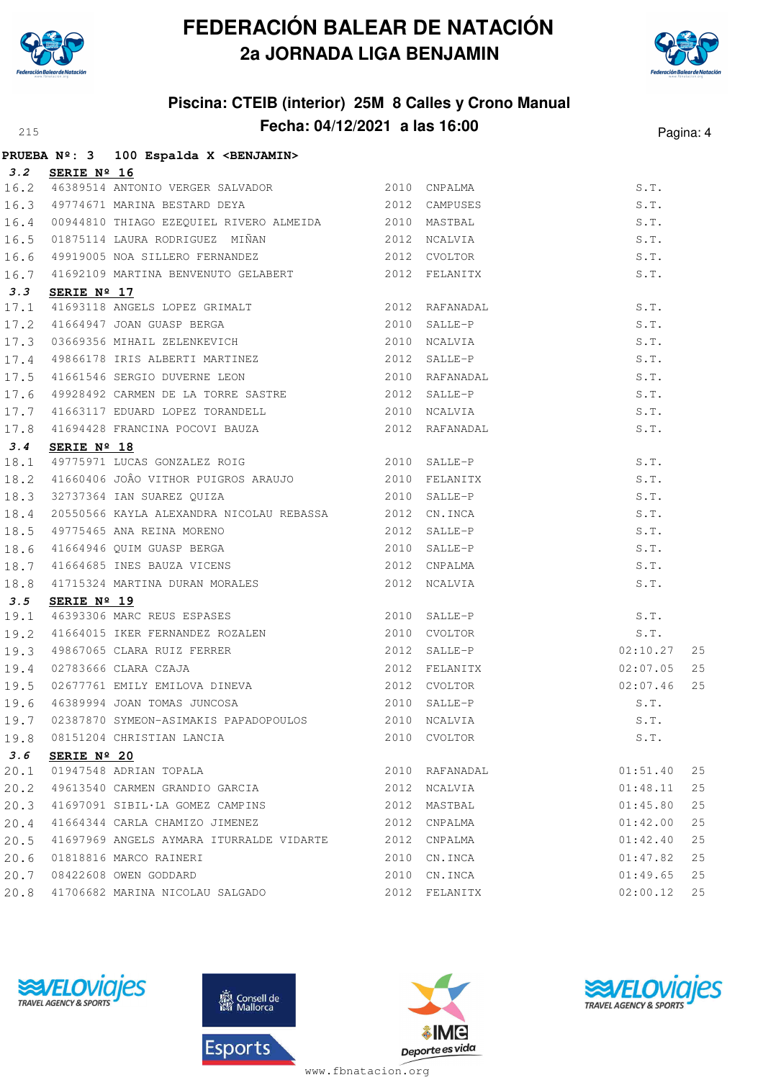



#### **Piscina: CTEIB (interior) 25M 8 Calles y Crono Manual Fecha: 04/12/2021 a las 16:00**<sup>215</sup> Pagina: 4

|      |                      | PRUEBA Nº: 3 100 Espalda X <benjamin></benjamin>                                                                                                                                                                                                     |                                                                                                                                    |          |      |
|------|----------------------|------------------------------------------------------------------------------------------------------------------------------------------------------------------------------------------------------------------------------------------------------|------------------------------------------------------------------------------------------------------------------------------------|----------|------|
|      | 3.2 SERIE Nº 16      |                                                                                                                                                                                                                                                      |                                                                                                                                    |          |      |
|      |                      | 16.2 46389514 ANTONIO VERGER SALVADOR 2010 CNPALMA                                                                                                                                                                                                   |                                                                                                                                    |          |      |
|      |                      | 16.2 <b>3EALE N-10</b><br>16.2 46389514 ANTONIO VERGER SALVADOR<br>16.3 49774671 MARINA BESTARD DEYA<br>16.4 00944810 THIAGO EZEQUIEL RIVERO ALMEIDA<br>16.5 01875114 LAURA RODRIGUEZ MIÑAN<br>16.5 01875114 LAURA RODRIGUEZ MIÑAN<br>16.6 4991      |                                                                                                                                    |          |      |
|      |                      |                                                                                                                                                                                                                                                      |                                                                                                                                    |          |      |
|      |                      |                                                                                                                                                                                                                                                      |                                                                                                                                    |          |      |
|      |                      |                                                                                                                                                                                                                                                      |                                                                                                                                    |          |      |
|      |                      | 16.7 41692109 MARTINA BENVENUTO GELABERT 2012 FELANITX                                                                                                                                                                                               |                                                                                                                                    | S.T.     |      |
| 3.3  | SERIE $N^{\circ}$ 17 |                                                                                                                                                                                                                                                      |                                                                                                                                    |          |      |
|      |                      | 3.3 SERIE Nº 17<br>17.1 41693118 ANGELS LOPEZ GRIMALT<br>17.2 41664947 JOAN GUASP BERGA<br>17.3 03669356 MIHAIL ZELENKEVICH<br>17.4 49866178 IRIS ALBERTI MARTINEZ<br>17.5 41661546 SERGIO DUVERNE LEON<br>17.5 41661546 SERGIO DUVERNE L            |                                                                                                                                    |          |      |
|      |                      |                                                                                                                                                                                                                                                      |                                                                                                                                    |          |      |
|      |                      |                                                                                                                                                                                                                                                      |                                                                                                                                    |          |      |
|      |                      |                                                                                                                                                                                                                                                      |                                                                                                                                    |          |      |
|      |                      |                                                                                                                                                                                                                                                      |                                                                                                                                    |          |      |
|      |                      |                                                                                                                                                                                                                                                      |                                                                                                                                    |          |      |
| 17.7 |                      | 41663117 EDUARD LOPEZ TORANDELL 2010 NCALVIA                                                                                                                                                                                                         |                                                                                                                                    | S.T.     |      |
|      |                      | 17.8 41694428 FRANCINA POCOVI BAUZA 2012 RAFANADAL                                                                                                                                                                                                   |                                                                                                                                    | S.T.     |      |
| 3.4  | SERIE $N^{\circ}$ 18 |                                                                                                                                                                                                                                                      | 3 ARAUJO 2010 FELANITX<br>2010 FELANITX<br>2010 SALLE-P 3.1.<br>2012 CN.INCA S.T.<br>2012 SALLE-P S.T.<br>2012 SALLE-P S.T.<br>5.T |          |      |
|      |                      | 18.1 49775971 LUCAS GONZALEZ ROIG 2010 SALLE-P                                                                                                                                                                                                       |                                                                                                                                    |          |      |
|      |                      | 18.2 41660406 JOÂO VITHOR PUIGROS ARAUJO 2010 FELANITX                                                                                                                                                                                               |                                                                                                                                    |          |      |
|      |                      | 18.3 32737364 IAN SUAREZ QUIZA                                                                                                                                                                                                                       |                                                                                                                                    |          |      |
|      |                      | 18.4 20550566 KAYLA ALEXANDRA NICOLAU REBASSA 2012 CN.INCA                                                                                                                                                                                           |                                                                                                                                    |          |      |
|      |                      | 18.5 49775465 ANA REINA MORENO<br>18.6 41664946 QUIM GUASP BERGA<br>18.7 41664685 INES BAUZA VICENS<br>18.8 41715324 MARTINA DURAN MORALES<br>18.8 41715324 MARTINA DURAN MORALES<br>18.8 5 SERTE Nº 19                                              |                                                                                                                                    |          |      |
|      |                      |                                                                                                                                                                                                                                                      |                                                                                                                                    |          |      |
|      |                      |                                                                                                                                                                                                                                                      |                                                                                                                                    |          |      |
|      |                      |                                                                                                                                                                                                                                                      |                                                                                                                                    | S.T.     |      |
| 3.5  | SERIE Nº 19          |                                                                                                                                                                                                                                                      |                                                                                                                                    |          |      |
|      |                      | $\frac{19.1}{46393306}$ MARC REUS ESPASES 2010 SALLE-P                                                                                                                                                                                               |                                                                                                                                    |          |      |
|      |                      |                                                                                                                                                                                                                                                      |                                                                                                                                    |          |      |
|      |                      |                                                                                                                                                                                                                                                      |                                                                                                                                    |          | 25   |
|      |                      |                                                                                                                                                                                                                                                      |                                                                                                                                    |          | 25   |
|      |                      |                                                                                                                                                                                                                                                      |                                                                                                                                    |          |      |
|      |                      |                                                                                                                                                                                                                                                      |                                                                                                                                    |          |      |
|      |                      | <b>3.5 SERIE Nº 19</b><br>19.1 46393306 MARC REUS ESPASES<br>19.2 41664015 IKER FERNANDEZ ROZALEN<br>19.3 49867065 CLARA RUIZ FERRER<br>19.3 49867065 CLARA RUIZ FERRER<br>2010 CVOLTOR<br>2010 CVOLTOR<br>2012 SALLE-P<br>02:10.27 25<br>19.4 02783 |                                                                                                                                    |          |      |
|      |                      | 19.8 08151204 CHRISTIAN LANCIA                                                                                                                                                                                                                       | 2010 CVOLTOR                                                                                                                       | S.T.     |      |
| 3.6  | SERIE Nº 20          |                                                                                                                                                                                                                                                      |                                                                                                                                    |          |      |
|      |                      | 20.1 01947548 ADRIAN TOPALA                                                                                                                                                                                                                          | 2010 RAFANADAL                                                                                                                     | 01:51.40 | 25   |
| 20.2 |                      | 49613540 CARMEN GRANDIO GARCIA 2012 NCALVIA                                                                                                                                                                                                          |                                                                                                                                    | 01:48.11 | 25   |
| 20.3 |                      | 41697091 SIBIL·LA GOMEZ CAMPINS 2012 MASTBAL                                                                                                                                                                                                         |                                                                                                                                    | 01:45.80 | 25   |
| 20.4 |                      | 41664344 CARLA CHAMIZO JIMENEZ                                                                                                                                                                                                                       | 2012 CNPALMA                                                                                                                       | 01:42.00 | 25   |
| 20.5 |                      | 41697969 ANGELS AYMARA ITURRALDE VIDARTE 2012 CNPALMA                                                                                                                                                                                                |                                                                                                                                    | 01:42.40 | 25   |
| 20.6 |                      | 01818816 MARCO RAINERI                                                                                                                                                                                                                               | 2010 CN.INCA                                                                                                                       | 01:47.82 | $25$ |
| 20.7 |                      | 08422608 OWEN GODDARD                                                                                                                                                                                                                                | 2010 CN.INCA                                                                                                                       | 01:49.65 | 25   |
| 20.8 |                      | 41706682 MARINA NICOLAU SALGADO                                                                                                                                                                                                                      | 2012 FELANITX                                                                                                                      | 02:00.12 | 25   |







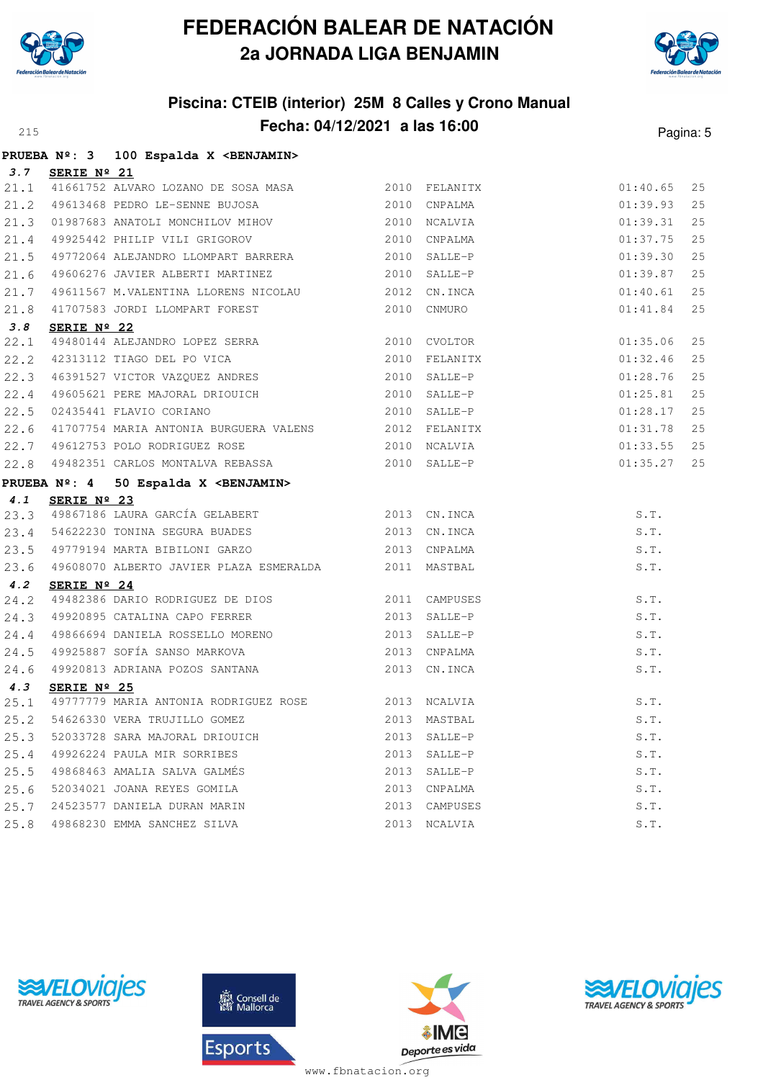



#### **Piscina: CTEIB (interior) 25M 8 Calles y Crono Manual Fecha: 04/12/2021 a las 16:00** Pagina: 5

|      |                 | PRUEBA Nº: 3 100 Espalda X < BENJAMIN>                                                                                                                                                                                               |               |          |    |
|------|-----------------|--------------------------------------------------------------------------------------------------------------------------------------------------------------------------------------------------------------------------------------|---------------|----------|----|
|      | 3.7 SERIE Nº 21 |                                                                                                                                                                                                                                      |               |          |    |
|      |                 | 21.1 41661752 ALVARO LOZANO DE SOSA MASA $2010$ FELANITX<br>21.2 49613468 PEDRO LE-SENNE BUJOSA 2010 CNPALMA                                                                                                                         |               | 01:40.65 | 25 |
|      |                 |                                                                                                                                                                                                                                      |               | 01:39.93 | 25 |
|      |                 | 21.3 01987683 ANATOLI MONCHILOV MIHOV 2010 NCALVIA<br>21.4 49925442 PHILIP VILI GRIGOROV 2010 CNPALMA                                                                                                                                |               | 01:39.31 | 25 |
|      |                 |                                                                                                                                                                                                                                      |               | 01:37.75 | 25 |
|      |                 | 21.5 49772064 ALEJANDRO LLOMPART BARRERA 2010 SALLE-P                                                                                                                                                                                |               | 01:39.30 | 25 |
|      |                 | 21.6 49606276 JAVIER ALBERTI MARTINEZ 2010 SALLE-P                                                                                                                                                                                   |               | 01:39.87 | 25 |
|      |                 |                                                                                                                                                                                                                                      |               | 01:40.61 | 25 |
|      |                 | 21.7 49611567 M.VALENTINA LLORENS NICOLAU 2012 CN.INCA<br>21.8 41707583 JORDI LLOMPART FOREST 2010 CNMURO                                                                                                                            |               | 01:41.84 | 25 |
| 3.8  | SERIE Nº 22     |                                                                                                                                                                                                                                      |               |          |    |
|      |                 |                                                                                                                                                                                                                                      |               | 01:35.06 | 25 |
|      |                 |                                                                                                                                                                                                                                      |               |          | 25 |
|      |                 |                                                                                                                                                                                                                                      |               |          | 25 |
|      |                 | 22.1 49480144 ALEJANDRO LOPEZ SERRA<br>22.2 42313112 TIAGO DEL PO VICA 2010 CVOLTOR 2010 FELANITX 01:35.06<br>22.3 46391527 VICTOR VAZQUEZ ANDRES 2010 SALLE-P 01:28.76<br>22.4 49605621 PERE MAJORAL DRIOUICH 2010 SALLE-P 01:25.81 |               |          | 25 |
|      |                 | 2010 SALLE-P<br>22.5 02435441 FLAVIO CORIANO                                                                                                                                                                                         |               | 01:28.17 | 25 |
|      |                 |                                                                                                                                                                                                                                      |               | 01:31.78 | 25 |
|      |                 | 22.6 41707754 MARIA ANTONIA BURGUERA VALENS 2012 FELANITX<br>22.7 49612753 POLO RODRIGUEZ ROSE 2010 NCALVIA<br>22.8 49482351 CARLOS MONTALVA REBASSA 2010 SALLE-P                                                                    |               | 01:33.55 | 25 |
|      |                 |                                                                                                                                                                                                                                      |               | 01:35.27 | 25 |
|      |                 | PRUEBA Nº: 4 50 Espalda X <benjamin></benjamin>                                                                                                                                                                                      |               |          |    |
|      |                 | 4.1 <b>SERIE Nº 23</b><br>23.3 49867186 LAURA GARCÍA GELABERT 2013 CN.INCA                                                                                                                                                           |               |          |    |
|      |                 |                                                                                                                                                                                                                                      |               | S.T.     |    |
|      |                 | 23.4 54622230 TONINA SEGURA BUADES 2013 CN.INCA                                                                                                                                                                                      |               | S.T.     |    |
|      |                 | 23.5 49779194 MARTA BIBILONI GARZO 2013 CNPALMA                                                                                                                                                                                      |               | S.T.     |    |
|      |                 | 23.6 49608070 ALBERTO JAVIER PLAZA ESMERALDA 2011 MASTBAL                                                                                                                                                                            |               | S.T.     |    |
| 4.2  | SERIE Nº 24     |                                                                                                                                                                                                                                      |               |          |    |
|      |                 |                                                                                                                                                                                                                                      |               | S.T.     |    |
|      |                 | 24.2 386 DARIO RODRIGUEZ DE DIOS<br>24.3 49920895 CATALINA CAPO FERRER 2013 SALLE-P                                                                                                                                                  |               | S.T.     |    |
|      |                 |                                                                                                                                                                                                                                      |               | S.T.     |    |
|      |                 |                                                                                                                                                                                                                                      |               | S.T.     |    |
|      |                 | 24.4 49866694 DANIELA ROSSELLO MORENO 2013 SALLE-P<br>24.5 49925887 SOFÍA SANSO MARKOVA 2013 CNPALMA<br>24.6 49920813 ADRIANA POZOS SANTANA 2013 CN.INCA                                                                             |               | S.T.     |    |
| 4.3  | SERIE Nº 25     |                                                                                                                                                                                                                                      |               |          |    |
|      |                 | 25.1 49777779 MARIA ANTONIA RODRIGUEZ ROSE 2013 NCALVIA<br>25.1 49777779 MARIA ANTONIA RODRIGUEZ ROSE 2013 NCALVIA (S.T. S.T. 25.2 54626330 VERA TRUJILLO GOMEZ 2013 MASTBAL                                                         |               |          |    |
|      |                 |                                                                                                                                                                                                                                      |               |          |    |
|      |                 | 25.3 52033728 SARA MAJORAL DRIOUICH                                                                                                                                                                                                  | 2013 SALLE-P  | S.T.     |    |
|      |                 | 25.4 49926224 PAULA MIR SORRIBES                                                                                                                                                                                                     | 2013 SALLE-P  | S.T.     |    |
|      |                 | 25.5 49868463 AMALIA SALVA GALMÉS                                                                                                                                                                                                    | 2013 SALLE-P  | S.T.     |    |
| 25.6 |                 | 52034021 JOANA REYES GOMILA                                                                                                                                                                                                          | 2013 CNPALMA  | S.T.     |    |
| 25.7 |                 | 24523577 DANIELA DURAN MARIN                                                                                                                                                                                                         | 2013 CAMPUSES | S.T.     |    |
|      |                 | 25.8 49868230 EMMA SANCHEZ SILVA                                                                                                                                                                                                     | 2013 NCALVIA  | S.T.     |    |